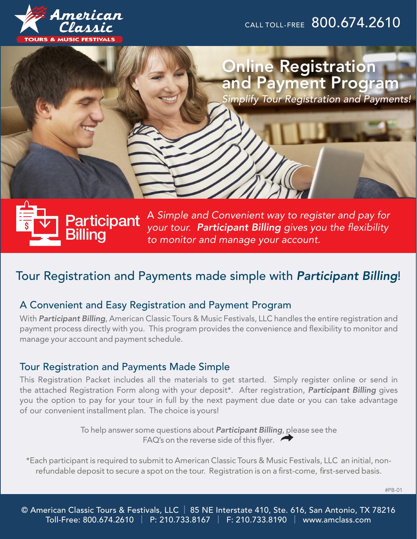

CALL TOLL-FREE 800.674.2610

# Online Registration and Payment Program

*Simplify Tour Registration and Payments!*



A *Simple and Convenient way to register and pay for your tour. Participant Billing gives you the flexibility to monitor and manage your account.* 

# Tour Registration and Payments made simple with *Participant Billing*!

# A Convenient and Easy Registration and Payment Program

With *Participant Billing*, American Classic Tours & Music Festivals, LLC handles the entire registration and payment process directly with you. This program provides the convenience and flexibility to monitor and manage your account and payment schedule.

### Tour Registration and Payments Made Simple

This Registration Packet includes all the materials to get started. Simply register online or send in the attached Registration Form along with your deposit\*. After registration, *Participant Billing* gives you the option to pay for your tour in full by the next payment due date or you can take advantage of our convenient installment plan. The choice is yours!

> To help answer some questions about *Participant Billing*, please see the FAQ's on the reverse side of this flyer.

\*Each participant is required to submit to American Classic Tours & Music Festivals, LLC an initial, nonrefundable deposit to secure a spot on the tour. Registration is on a first-come, first-served basis.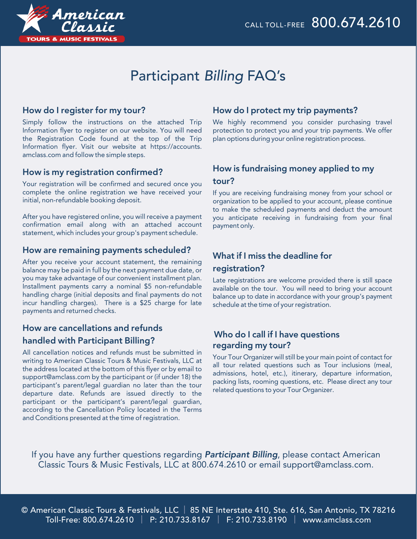

# Participant *Billing* FAQ's

### How do I register for my tour?

Simply follow the instructions on the attached Trip Information flyer to register on our website. You will need the Registration Code found at the top of the Trip Information flyer. Visit our website at https://accounts. amclass.com and follow the simple steps.

#### How is my registration confirmed?

Your registration will be confirmed and secured once you complete the online registration we have received your initial, non-refundable booking deposit.

After you have registered online, you will receive a payment confirmation email along with an attached account statement, which includes your group's payment schedule.

#### How are remaining payments scheduled?

After you receive your account statement, the remaining balance may be paid in full by the next payment due date, or you may take advantage of our convenient installment plan. Installment payments carry a nominal \$5 non-refundable handling charge (initial deposits and final payments do not incur handling charges). There is a \$25 charge for late payments and returned checks.

# How are cancellations and refunds handled with Participant Billing?

All cancellation notices and refunds must be submitted in writing to American Classic Tours & Music Festivals, LLC at the address located at the bottom of this flyer or by email to support@amclass.com by the participant or (if under 18) the participant's parent/legal guardian no later than the tour departure date. Refunds are issued directly to the participant or the participant's parent/legal guardian, according to the Cancellation Policy located in the Terms and Conditions presented at the time of registration.

### How do I protect my trip payments?

We highly recommend you consider purchasing travel protection to protect you and your trip payments. We offer plan options during your online registration process.

## How is fundraising money applied to my tour?

If you are receiving fundraising money from your school or organization to be applied to your account, please continue to make the scheduled payments and deduct the amount you anticipate receiving in fundraising from your final payment only.

### What if I miss the deadline for

#### registration?

Late registrations are welcome provided there is still space available on the tour. You will need to bring your account balance up to date in accordance with your group's payment schedule at the time of your registration.

#### Who do I call if I have questions regarding my tour?

Your Tour Organizer will still be your main point of contact for all tour related questions such as Tour inclusions (meal, admissions, hotel, etc.), itinerary, departure information, packing lists, rooming questions, etc. Please direct any tour related questions to your Tour Organizer.

If you have any further questions regarding *Participant Billing*, please contact American Classic Tours & Music Festivals, LLC at 800.674.2610 or email support@amclass.com.

© American Classic Tours & Festivals, LLC | 85 NE Interstate 410, Ste. 616, San Antonio, TX 78216 Toll-Free: 800.674.2610 | P: 210.733.8167 | F: 210.733.8190 | www.amclass.com